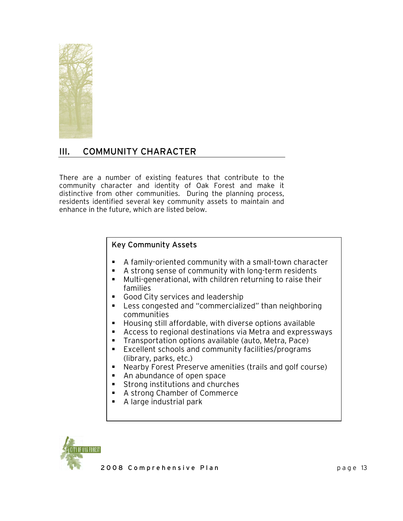

# III. COMMUNITY CHARACTER

There are a number of existing features that contribute to the community character and identity of Oak Forest and make it distinctive from other communities. During the planning process, residents identified several key community assets to maintain and enhance in the future, which are listed below.

# Key Community Assets

- A family-oriented community with a small-town character
- A strong sense of community with long-term residents
- Multi-generational, with children returning to raise their families
- Good City services and leadership
- Less congested and "commercialized" than neighboring communities
- Housing still affordable, with diverse options available
- Access to regional destinations via Metra and expressways
- **Transportation options available (auto, Metra, Pace)**
- Excellent schools and community facilities/programs (library, parks, etc.)
- Nearby Forest Preserve amenities (trails and golf course)
- **An abundance of open space**
- **Strong institutions and churches**
- A strong Chamber of Commerce
- A large industrial park

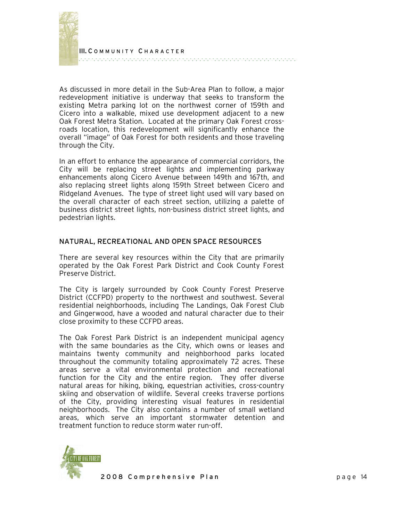

As discussed in more detail in the Sub-Area Plan to follow, a major redevelopment initiative is underway that seeks to transform the existing Metra parking lot on the northwest corner of 159th and Cicero into a walkable, mixed use development adjacent to a new Oak Forest Metra Station. Located at the primary Oak Forest crossroads location, this redevelopment will significantly enhance the overall "image" of Oak Forest for both residents and those traveling through the City.

In an effort to enhance the appearance of commercial corridors, the City will be replacing street lights and implementing parkway enhancements along Cicero Avenue between 149th and 167th, and also replacing street lights along 159th Street between Cicero and Ridgeland Avenues. The type of street light used will vary based on the overall character of each street section, utilizing a palette of business district street lights, non-business district street lights, and pedestrian lights.

## NATURAL, RECREATIONAL AND OPEN SPACE RESOURCES

There are several key resources within the City that are primarily operated by the Oak Forest Park District and Cook County Forest Preserve District.

The City is largely surrounded by Cook County Forest Preserve District (CCFPD) property to the northwest and southwest. Several residential neighborhoods, including The Landings, Oak Forest Club and Gingerwood, have a wooded and natural character due to their close proximity to these CCFPD areas.

The Oak Forest Park District is an independent municipal agency with the same boundaries as the City, which owns or leases and maintains twenty community and neighborhood parks located throughout the community totaling approximately 72 acres. These areas serve a vital environmental protection and recreational function for the City and the entire region. They offer diverse natural areas for hiking, biking, equestrian activities, cross-country skiing and observation of wildlife. Several creeks traverse portions of the City, providing interesting visual features in residential neighborhoods. The City also contains a number of small wetland areas, which serve an important stormwater detention and treatment function to reduce storm water run-off.

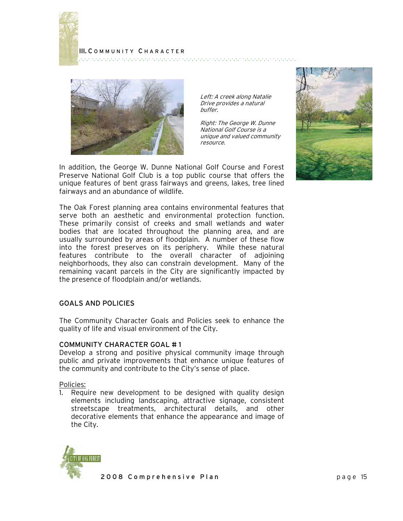



Left: A creek along Natalie Drive provides a natural buffer.

Right: The George W. Dunne National Golf Course is a unique and valued community resource.

In addition, the George W. Dunne National Golf Course and Forest Preserve National Golf Club is a top public course that offers the unique features of bent grass fairways and greens, lakes, tree lined fairways and an abundance of wildlife.

The Oak Forest planning area contains environmental features that serve both an aesthetic and environmental protection function. These primarily consist of creeks and small wetlands and water bodies that are located throughout the planning area, and are usually surrounded by areas of floodplain. A number of these flow into the forest preserves on its periphery. While these natural features contribute to the overall character of adjoining neighborhoods, they also can constrain development. Many of the remaining vacant parcels in the City are significantly impacted by the presence of floodplain and/or wetlands.

#### GOALS AND POLICIES

The Community Character Goals and Policies seek to enhance the quality of life and visual environment of the City.

#### COMMUNITY CHARACTER GOAL # 1

Develop a strong and positive physical community image through public and private improvements that enhance unique features of the community and contribute to the City's sense of place.

Policies:

1. Require new development to be designed with quality design elements including landscaping, attractive signage, consistent streetscape treatments, architectural details, and other decorative elements that enhance the appearance and image of the City.